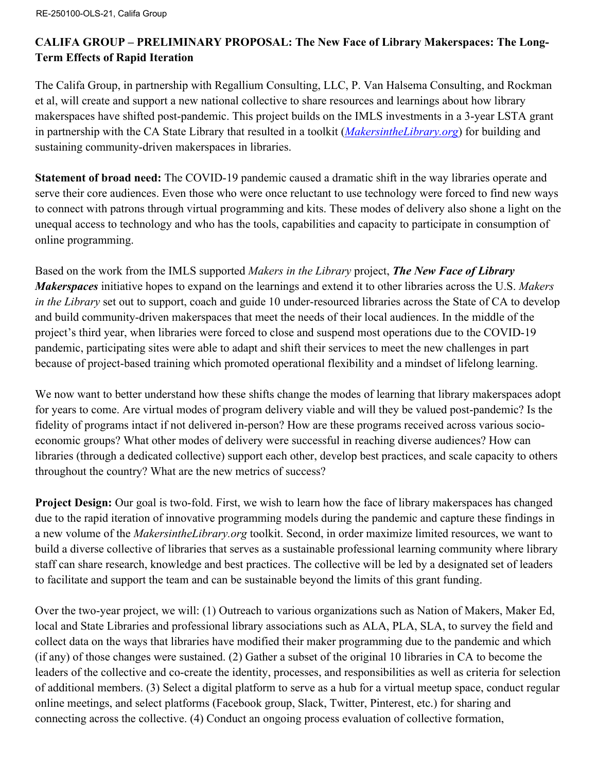## **CALIFA GROUP – PRELIMINARY PROPOSAL: The New Face of Library Makerspaces: The Long-Term Effects of Rapid Iteration**

The Califa Group, in partnership with Regallium Consulting, LLC, P. Van Halsema Consulting, and Rockman et al, will create and support a new national collective to share resources and learnings about how library makerspaces have shifted post-pandemic. This project builds on the IMLS investments in a 3-year LSTA grant in partnership with the CA State Library that resulted in a toolkit (*[MakersintheLibrary.org](https://www.makersinthelibrary.org/)*) for building and sustaining community-driven makerspaces in libraries.

**Statement of broad need:** The COVID-19 pandemic caused a dramatic shift in the way libraries operate and serve their core audiences. Even those who were once reluctant to use technology were forced to find new ways to connect with patrons through virtual programming and kits. These modes of delivery also shone a light on the unequal access to technology and who has the tools, capabilities and capacity to participate in consumption of online programming.

Based on the work from the IMLS supported *Makers in the Library* project, *The New Face of Library Makerspaces* initiative hopes to expand on the learnings and extend it to other libraries across the U.S. *Makers in the Library* set out to support, coach and guide 10 under-resourced libraries across the State of CA to develop and build community-driven makerspaces that meet the needs of their local audiences. In the middle of the project's third year, when libraries were forced to close and suspend most operations due to the COVID-19 pandemic, participating sites were able to adapt and shift their services to meet the new challenges in part because of project-based training which promoted operational flexibility and a mindset of lifelong learning.

We now want to better understand how these shifts change the modes of learning that library makerspaces adopt for years to come. Are virtual modes of program delivery viable and will they be valued post-pandemic? Is the fidelity of programs intact if not delivered in-person? How are these programs received across various socioeconomic groups? What other modes of delivery were successful in reaching diverse audiences? How can libraries (through a dedicated collective) support each other, develop best practices, and scale capacity to others throughout the country? What are the new metrics of success?

**Project Design:** Our goal is two-fold. First, we wish to learn how the face of library makerspaces has changed due to the rapid iteration of innovative programming models during the pandemic and capture these findings in a new volume of the *MakersintheLibrary.org* toolkit. Second, in order maximize limited resources, we want to build a diverse collective of libraries that serves as a sustainable professional learning community where library staff can share research, knowledge and best practices. The collective will be led by a designated set of leaders to facilitate and support the team and can be sustainable beyond the limits of this grant funding.

Over the two-year project, we will: (1) Outreach to various organizations such as Nation of Makers, Maker Ed, local and State Libraries and professional library associations such as ALA, PLA, SLA, to survey the field and collect data on the ways that libraries have modified their maker programming due to the pandemic and which (if any) of those changes were sustained. (2) Gather a subset of the original 10 libraries in CA to become the leaders of the collective and co-create the identity, processes, and responsibilities as well as criteria for selection of additional members. (3) Select a digital platform to serve as a hub for a virtual meetup space, conduct regular online meetings, and select platforms (Facebook group, Slack, Twitter, Pinterest, etc.) for sharing and connecting across the collective. (4) Conduct an ongoing process evaluation of collective formation,